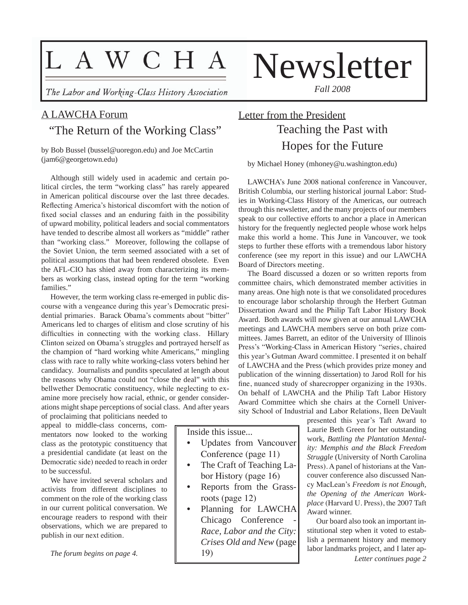# L A W C H A

The Labor and Working-Class History Association

### A LAWCHA Forum "The Return of the Working Class"

by Bob Bussel (bussel@uoregon.edu) and Joe McCartin (jam6@georgetown.edu)

Although still widely used in academic and certain political circles, the term "working class" has rarely appeared in American political discourse over the last three decades. Reflecting America's historical discomfort with the notion of fixed social classes and an enduring faith in the possibility of upward mobility, political leaders and social commentators have tended to describe almost all workers as "middle" rather than "working class." Moreover, following the collapse of the Soviet Union, the term seemed associated with a set of political assumptions that had been rendered obsolete. Even the AFL-CIO has shied away from characterizing its members as working class, instead opting for the term "working families."

However, the term working class re-emerged in public discourse with a vengeance during this year's Democratic presidential primaries. Barack Obama's comments about "bitter" Americans led to charges of elitism and close scrutiny of his difficulties in connecting with the working class. Hillary Clinton seized on Obama's struggles and portrayed herself as the champion of "hard working white Americans," mingling class with race to rally white working-class voters behind her candidacy. Journalists and pundits speculated at length about the reasons why Obama could not "close the deal" with this bellwether Democratic constituency, while neglecting to examine more precisely how racial, ethnic, or gender considerations might shape perceptions of social class. And after years

of proclaiming that politicians needed to appeal to middle-class concerns, commentators now looked to the working class as the prototypic constituency that a presidential candidate (at least on the Democratic side) needed to reach in order to be successful.

We have invited several scholars and activists from different disciplines to comment on the role of the working class in our current political conversation. We encourage readers to respond with their observations, which we are prepared to publish in our next edition.

*The forum begins on page 4.*

# Newsletter

*Fall 2008*

### Letter from the President Teaching the Past with Hopes for the Future

by Michael Honey (mhoney@u.washington.edu)

LAWCHA's June 2008 national conference in Vancouver, British Columbia, our sterling historical journal Labor: Studies in Working-Class History of the Americas, our outreach through this newsletter, and the many projects of our members speak to our collective efforts to anchor a place in American history for the frequently neglected people whose work helps make this world a home. This June in Vancouver, we took steps to further these efforts with a tremendous labor history conference (see my report in this issue) and our LAWCHA Board of Directors meeting.

The Board discussed a dozen or so written reports from committee chairs, which demonstrated member activities in many areas. One high note is that we consolidated procedures to encourage labor scholarship through the Herbert Gutman Dissertation Award and the Philip Taft Labor History Book Award. Both awards will now given at our annual LAWCHA meetings and LAWCHA members serve on both prize committees. James Barrett, an editor of the University of Illinois Press's "Working-Class in American History "series, chaired this year's Gutman Award committee. I presented it on behalf of LAWCHA and the Press (which provides prize money and publication of the winning dissertation) to Jarod Roll for his fine, nuanced study of sharecropper organizing in the 1930s. On behalf of LAWCHA and the Philip Taft Labor History Award Committee which she chairs at the Cornell University School of Industrial and Labor Relations, Ileen DeVault

> presented this year's Taft Award to Laurie Beth Green for her outstanding work, *Battling the Plantation Mentality: Memphis and the Black Freedom Struggle* (University of North Carolina Press). A panel of historians at the Vancouver conference also discussed Nancy MacLean's *Freedom is not Enough, the Opening of the American Workplace* (Harvard U. Press), the 2007 Taft Award winner.

> Our board also took an important institutional step when it voted to establish a permanent history and memory labor landmarks project, and I later ap-

> > *Letter continues page 2*

Inside this issue...

- Updates from Vancouver Conference (page 11)
- The Craft of Teaching Labor History (page 16)
- Reports from the Grassroots (page 12)
- Planning for LAWCHA Chicago Conference *Race, Labor and the City: Crises Old and New* (page 19)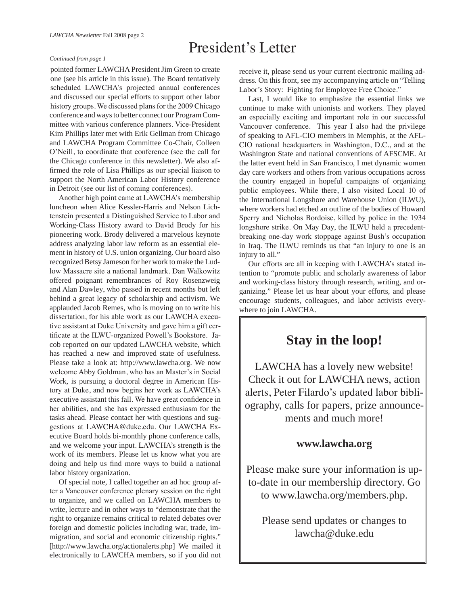### President's Letter

#### *Continued from page 1*

pointed former LAWCHA President Jim Green to create one (see his article in this issue). The Board tentatively scheduled LAWCHA's projected annual conferences and discussed our special efforts to support other labor history groups. We discussed plans for the 2009 Chicago conference and ways to better connect our Program Committee with various conference planners. Vice-President Kim Phillips later met with Erik Gellman from Chicago and LAWCHA Program Committee Co-Chair, Colleen O'Neill, to coordinate that conference (see the call for the Chicago conference in this newsletter). We also affirmed the role of Lisa Phillips as our special liaison to support the North American Labor History conference in Detroit (see our list of coming conferences).

Another high point came at LAWCHA's membership luncheon when Alice Kessler-Harris and Nelson Lichtenstein presented a Distinguished Service to Labor and Working-Class History award to David Brody for his pioneering work. Brody delivered a marvelous keynote address analyzing labor law reform as an essential element in history of U.S. union organizing. Our board also recognized Betsy Jameson for her work to make the Ludlow Massacre site a national landmark. Dan Walkowitz offered poignant remembrances of Roy Rosenzweig and Alan Dawley, who passed in recent months but left behind a great legacy of scholarship and activism. We applauded Jacob Remes, who is moving on to write his dissertation, for his able work as our LAWCHA executive assistant at Duke University and gave him a gift certificate at the ILWU-organized Powell's Bookstore. Jacob reported on our updated LAWCHA website, which has reached a new and improved state of usefulness. Please take a look at: http://www.lawcha.org. We now welcome Abby Goldman, who has an Master's in Social Work, is pursuing a doctoral degree in American History at Duke, and now begins her work as LAWCHA's executive assistant this fall. We have great confidence in her abilities, and she has expressed enthusiasm for the tasks ahead. Please contact her with questions and suggestions at LAWCHA@duke.edu. Our LAWCHA Executive Board holds bi-monthly phone conference calls, and we welcome your input. LAWCHA's strength is the work of its members. Please let us know what you are doing and help us find more ways to build a national labor history organization.

Of special note, I called together an ad hoc group after a Vancouver conference plenary session on the right to organize, and we called on LAWCHA members to write, lecture and in other ways to "demonstrate that the right to organize remains critical to related debates over foreign and domestic policies including war, trade, immigration, and social and economic citizenship rights." [http://www.lawcha.org/actionalerts.php] We mailed it electronically to LAWCHA members, so if you did not

receive it, please send us your current electronic mailing address. On this front, see my accompanying article on "Telling Labor's Story: Fighting for Employee Free Choice."

Last, I would like to emphasize the essential links we continue to make with unionists and workers. They played an especially exciting and important role in our successful Vancouver conference. This year I also had the privilege of speaking to AFL-CIO members in Memphis, at the AFL-CIO national headquarters in Washington, D.C., and at the Washington State and national conventions of AFSCME. At the latter event held in San Francisco, I met dynamic women day care workers and others from various occupations across the country engaged in hopeful campaigns of organizing public employees. While there, I also visited Local 10 of the International Longshore and Warehouse Union (ILWU), where workers had etched an outline of the bodies of Howard Sperry and Nicholas Bordoise, killed by police in the 1934 longshore strike. On May Day, the ILWU held a precedentbreaking one-day work stoppage against Bush's occupation in Iraq. The ILWU reminds us that "an injury to one is an injury to all."

Our efforts are all in keeping with LAWCHA's stated intention to "promote public and scholarly awareness of labor and working-class history through research, writing, and organizing." Please let us hear about your efforts, and please encourage students, colleagues, and labor activists everywhere to join LAWCHA.

### **Stay in the loop!**

LAWCHA has a lovely new website! Check it out for LAWCHA news, action alerts, Peter Filardo's updated labor bibliography, calls for papers, prize announcements and much more!

### **www.lawcha.org**

Please make sure your information is upto-date in our membership directory. Go to www.lawcha.org/members.php.

Please send updates or changes to lawcha@duke.edu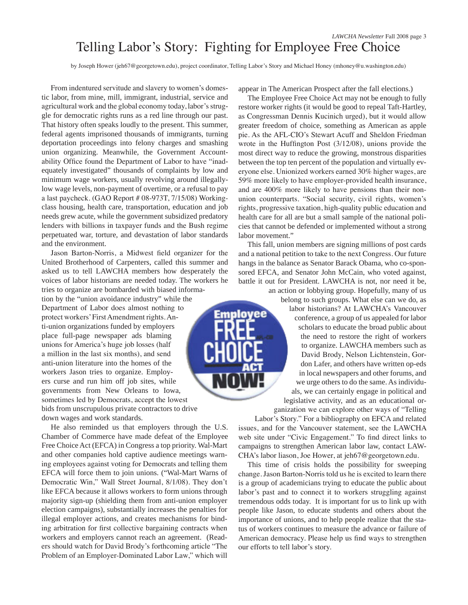by Joseph Hower (jeh67@georgetown.edu), project coordinator, Telling Labor's Story and Michael Honey (mhoney@u.washington.edu)

From indentured servitude and slavery to women's domestic labor, from mine, mill, immigrant, industrial, service and agricultural work and the global economy today, labor's struggle for democratic rights runs as a red line through our past. That history often speaks loudly to the present. This summer, federal agents imprisoned thousands of immigrants, turning deportation proceedings into felony charges and smashing union organizing. Meanwhile, the Government Accountability Office found the Department of Labor to have "inadequately investigated" thousands of complaints by low and minimum wage workers, usually revolving around illegallylow wage levels, non-payment of overtime, or a refusal to pay a last paycheck. (GAO Report # 08-973T, 7/15/08) Workingclass housing, health care, transportation, education and job needs grew acute, while the government subsidized predatory lenders with billions in taxpayer funds and the Bush regime perpetuated war, torture, and devastation of labor standards and the environment.

Jason Barton-Norris, a Midwest field organizer for the United Brotherhood of Carpenters, called this summer and asked us to tell LAWCHA members how desperately the voices of labor historians are needed today. The workers he

tries to organize are bombarded with biased information by the "union avoidance industry" while the Department of Labor does almost nothing to protect workers' First Amendment rights. Anti-union organizations funded by employers place full-page newspaper ads blaming unions for America's huge job losses (half a million in the last six months), and send anti-union literature into the homes of the workers Jason tries to organize. Employers curse and run him off job sites, while governments from New Orleans to Iowa, sometimes led by Democrats, accept the lowest bids from unscrupulous private contractors to drive down wages and work standards.

He also reminded us that employers through the U.S. Chamber of Commerce have made defeat of the Employee Free Choice Act (EFCA) in Congress a top priority. Wal-Mart and other companies hold captive audience meetings warning employees against voting for Democrats and telling them EFCA will force them to join unions. ("Wal-Mart Warns of Democratic Win," Wall Street Journal, 8/1/08). They don't like EFCA because it allows workers to form unions through majority sign-up (shielding them from anti-union employer election campaigns), substantially increases the penalties for illegal employer actions, and creates mechanisms for binding arbitration for first collective bargaining contracts when workers and employers cannot reach an agreement. (Readers should watch for David Brody's forthcoming article "The Problem of an Employer-Dominated Labor Law," which will

appear in The American Prospect after the fall elections.)

The Employee Free Choice Act may not be enough to fully restore worker rights (it would be good to repeal Taft-Hartley, as Congressman Dennis Kucinich urged), but it would allow greater freedom of choice, something as American as apple pie. As the AFL-CIO's Stewart Acuff and Sheldon Friedman wrote in the Huffington Post (3/12/08), unions provide the most direct way to reduce the growing, monstrous disparities between the top ten percent of the population and virtually everyone else. Unionized workers earned 30% higher wages, are 59% more likely to have employer-provided health insurance, and are 400% more likely to have pensions than their nonunion counterparts. "Social security, civil rights, women's rights, progressive taxation, high-quality public education and health care for all are but a small sample of the national policies that cannot be defended or implemented without a strong labor movement."

This fall, union members are signing millions of post cards and a national petition to take to the next Congress. Our future hangs in the balance as Senator Barack Obama, who co-sponsored EFCA, and Senator John McCain, who voted against, battle it out for President. LAWCHA is not, nor need it be, an action or lobbying group. Hopefully, many of us



Labor's Story." For a bibliography on EFCA and related issues, and for the Vancouver statement, see the LAWCHA web site under "Civic Engagement." To find direct links to campaigns to strengthen American labor law, contact LAW-CHA's labor liason, Joe Hower, at jeh67@georgetown.edu.

This time of crisis holds the possibility for sweeping change. Jason Barton-Norris told us he is excited to learn there is a group of academicians trying to educate the public about labor's past and to connect it to workers struggling against tremendous odds today. It is important for us to link up with people like Jason, to educate students and others about the importance of unions, and to help people realize that the status of workers continues to measure the advance or failure of American democracy. Please help us find ways to strengthen our efforts to tell labor's story.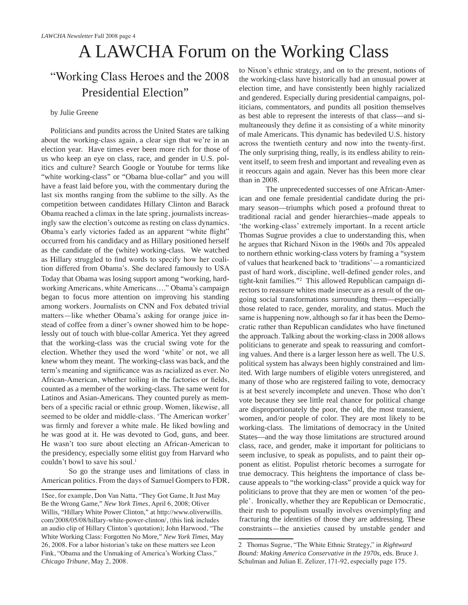## A LAWCHA Forum on the Working Class

### "Working Class Heroes and the 2008 Presidential Election"

#### by Julie Greene

Politicians and pundits across the United States are talking about the working-class again, a clear sign that we're in an election year. Have times ever been more rich for those of us who keep an eye on class, race, and gender in U.S. politics and culture? Search Google or Youtube for terms like "white working-class" or "Obama blue-collar" and you will have a feast laid before you, with the commentary during the last six months ranging from the sublime to the silly. As the competition between candidates Hillary Clinton and Barack Obama reached a climax in the late spring, journalists increasingly saw the election's outcome as resting on class dynamics. Obama's early victories faded as an apparent "white flight" occurred from his candidacy and as Hillary positioned herself as the candidate of the (white) working-class. We watched as Hillary struggled to find words to specify how her coalition differed from Obama's. She declared famously to USA Today that Obama was losing support among "working, hardworking Americans, white Americans…." Obama's campaign began to focus more attention on improving his standing among workers. Journalists on CNN and Fox debated trivial matters—like whether Obama's asking for orange juice instead of coffee from a diner's owner showed him to be hopelessly out of touch with blue-collar America. Yet they agreed that the working-class was the crucial swing vote for the election. Whether they used the word 'white' or not, we all knew whom they meant. The working-class was back, and the term's meaning and significance was as racialized as ever. No African-American, whether toiling in the factories or fields, counted as a member of the working-class. The same went for Latinos and Asian-Americans. They counted purely as members of a specific racial or ethnic group. Women, likewise, all seemed to be older and middle-class. 'The American worker' was firmly and forever a white male. He liked bowling and he was good at it. He was devoted to God, guns, and beer. He wasn't too sure about electing an African-American to the presidency, especially some elitist guy from Harvard who couldn't bowl to save his soul.<sup>1</sup>

So go the strange uses and limitations of class in American politics. From the days of Samuel Gompers to FDR, to Nixon's ethnic strategy, and on to the present, notions of the working-class have historically had an unusual power at election time, and have consistently been highly racialized and gendered. Especially during presidential campaigns, politicians, commentators, and pundits all position themselves as best able to represent the interests of that class—and simultaneously they define it as consisting of a white minority of male Americans. This dynamic has bedeviled U.S. history across the twentieth century and now into the twenty-first. The only surprising thing, really, is its endless ability to reinvent itself, to seem fresh and important and revealing even as it reoccurs again and again. Never has this been more clear than in 2008.

The unprecedented successes of one African-American and one female presidential candidate during the primary season—triumphs which posed a profound threat to traditional racial and gender hierarchies--made appeals to 'the working-class' extremely important. In a recent article Thomas Sugrue provides a clue to understanding this, when he argues that Richard Nixon in the 1960s and 70s appealed to northern ethnic working-class voters by framing a "system of values that hearkened back to 'traditions'—a romanticized past of hard work, discipline, well-defined gender roles, and tight-knit families."<sup>2</sup> This allowed Republican campaign directors to reassure whites made insecure as a result of the ongoing social transformations surrounding them—especially those related to race, gender, morality, and status. Much the same is happening now, although so far it has been the Democratic rather than Republican candidates who have finetuned the approach. Talking about the working-class in 2008 allows politicians to generate and speak to reassuring and comforting values. And there is a larger lesson here as well. The U.S. political system has always been highly constrained and limited. With large numbers of eligible voters unregistered, and many of those who are registered failing to vote, democracy is at best severely incomplete and uneven. Those who don't vote because they see little real chance for political change are disproportionately the poor, the old, the most transient, women, and/or people of color. They are most likely to be working-class. The limitations of democracy in the United States—and the way those limitations are structured around class, race, and gender, make it important for politicians to seem inclusive, to speak as populists, and to paint their opponent as elitist. Populist rhetoric becomes a surrogate for true democracy. This heightens the importance of class because appeals to "the working-class" provide a quick way for politicians to prove that they are men or women 'of the people'. Ironically, whether they are Republican or Democratic, their rush to populism usually involves oversimplyfing and fracturing the identities of those they are addressing. These constraints—the anxieties caused by unstable gender and

<sup>1</sup>See, for example, Don Van Natta, "They Got Game, It Just May Be the Wrong Game," *New York Times*, April 6, 2008; Oliver Willis, "Hillary White Power Clinton," at http://www.oliverwillis. com/2008/05/08/hillary-white-power-clinton/, (this link includes an audio clip of Hillary Clinton's quotation); John Harwood, "The White Working Class: Forgotten No More," *New York Times*, May 26, 2008. For a labor historian's take on these matters see Leon Fink, "Obama and the Unmaking of America's Working Class," *Chicago Tribune*, May 2, 2008.

<sup>2</sup> Thomas Sugrue, "The White Ethnic Strategy," in *Rightward Bound: Making America Conservative in the 1970s*, eds. Bruce J. Schulman and Julian E. Zelizer, 171-92, especially page 175.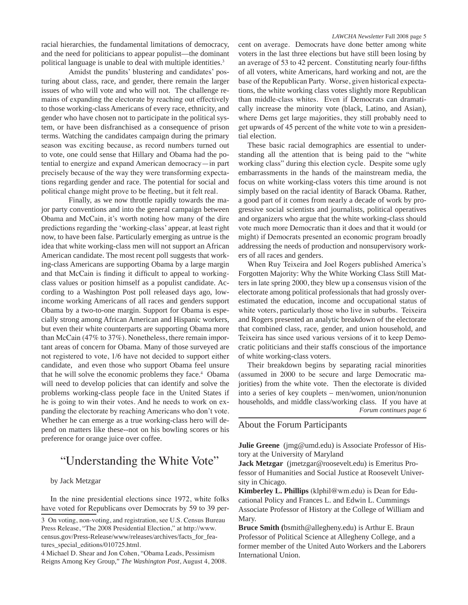racial hierarchies, the fundamental limitations of democracy, and the need for politicians to appear populist—the dominant political language is unable to deal with multiple identities.<sup>3</sup>

Amidst the pundits' blustering and candidates' posturing about class, race, and gender, there remain the larger issues of who will vote and who will not. The challenge remains of expanding the electorate by reaching out effectively to those working-class Americans of every race, ethnicity, and gender who have chosen not to participate in the political system, or have been disfranchised as a consequence of prison terms. Watching the candidates campaign during the primary season was exciting because, as record numbers turned out to vote, one could sense that Hillary and Obama had the potential to energize and expand American democracy—in part precisely because of the way they were transforming expectations regarding gender and race. The potential for social and political change might prove to be fleeting, but it felt real.

Finally, as we now throttle rapidly towards the major party conventions and into the general campaign between Obama and McCain, it's worth noting how many of the dire predictions regarding the 'working-class' appear, at least right now, to have been false. Particularly emerging as untrue is the idea that white working-class men will not support an African American candidate. The most recent poll suggests that working-class Americans are supporting Obama by a large margin and that McCain is finding it difficult to appeal to workingclass values or position himself as a populist candidate. According to a Washington Post poll released days ago, lowincome working Americans of all races and genders support Obama by a two-to-one margin. Support for Obama is especially strong among African American and Hispanic workers, but even their white counterparts are supporting Obama more than McCain (47% to 37%). Nonetheless, there remain important areas of concern for Obama. Many of those surveyed are not registered to vote, 1/6 have not decided to support either candidate, and even those who support Obama feel unsure that he will solve the economic problems they face.<sup>4</sup> Obama will need to develop policies that can identify and solve the problems working-class people face in the United States if he is going to win their votes. And he needs to work on expanding the electorate by reaching Americans who don't vote. Whether he can emerge as a true working-class hero will depend on matters like these--not on his bowling scores or his preference for orange juice over coffee.

### "Understanding the White Vote"

#### by Jack Metzgar

In the nine presidential elections since 1972, white folks have voted for Republicans over Democrats by 59 to 39 percent on average. Democrats have done better among white voters in the last three elections but have still been losing by an average of 53 to 42 percent. Constituting nearly four-fifths of all voters, white Americans, hard working and not, are the base of the Republican Party. Worse, given historical expectations, the white working class votes slightly more Republican than middle-class whites. Even if Democrats can dramatically increase the minority vote (black, Latino, and Asian), where Dems get large majorities, they still probably need to get upwards of 45 percent of the white vote to win a presidential election.

These basic racial demographics are essential to understanding all the attention that is being paid to the "white working class" during this election cycle. Despite some ugly embarrassments in the hands of the mainstream media, the focus on white working-class voters this time around is not simply based on the racial identity of Barack Obama. Rather, a good part of it comes from nearly a decade of work by progressive social scientists and journalists, political operatives and organizers who argue that the white working-class should vote much more Democratic than it does and that it would (or might) if Democrats presented an economic program broadly addressing the needs of production and nonsupervisory workers of all races and genders.

When Ruy Teixeira and Joel Rogers published America's Forgotten Majority: Why the White Working Class Still Matters in late spring 2000, they blew up a consensus vision of the electorate among political professionals that had grossly overestimated the education, income and occupational status of white voters, particularly those who live in suburbs. Teixeira and Rogers presented an analytic breakdown of the electorate that combined class, race, gender, and union household, and Teixeira has since used various versions of it to keep Democratic politicians and their staffs conscious of the importance of white working-class voters.

Their breakdown begins by separating racial minorities (assumed in 2000 to be secure and large Democratic majorities) from the white vote. Then the electorate is divided into a series of key couplets – men/women, union/nonunion households, and middle class/working class. If you have at *Forum continues page 6*

#### About the Forum Participants

**Julie Greene** (jmg@umd.edu) is Associate Professor of History at the University of Maryland

**Jack Metzgar** (jmetzgar@roosevelt.edu) is Emeritus Professor of Humanities and Social Justice at Roosevelt University in Chicago.

**Kimberley L. Phillips** (klphil@wm.edu) is Dean for Educational Policy and Frances L. and Edwin L. Cummings Associate Professor of History at the College of William and Mary.

**Bruce Smith (**bsmith@allegheny.edu) is Arthur E. Braun Professor of Political Science at Allegheny College, and a former member of the United Auto Workers and the Laborers International Union.

<sup>3</sup> On voting, non-voting, and registration, see U.S. Census Bureau Press Release, "The 2008 Presidential Election," at http://www. census.gov/Press-Release/www/releases/archives/facts\_for\_features\_special\_editions/010725.html.

<sup>4</sup> Michael D. Shear and Jon Cohen, "Obama Leads, Pessimism Reigns Among Key Group," *The Washington Post*, August 4, 2008.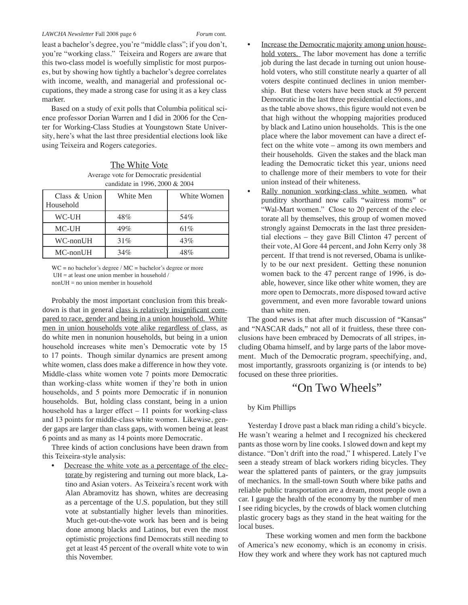least a bachelor's degree, you're "middle class"; if you don't, you're "working class." Teixeira and Rogers are aware that this two-class model is woefully simplistic for most purposes, but by showing how tightly a bachelor's degree correlates with income, wealth, and managerial and professional occupations, they made a strong case for using it as a key class marker.

Based on a study of exit polls that Columbia political science professor Dorian Warren and I did in 2006 for the Center for Working-Class Studies at Youngstown State University, here's what the last three presidential elections look like using Teixeira and Rogers categories.

The White Vote Average vote for Democratic presidential candidate in 1996, 2000 & 2004

| Class & Union<br>Household | White Men | White Women |
|----------------------------|-----------|-------------|
| WC-UH                      | 48%       | 54%         |
| MC-UH                      | 49%       | 61%         |
| WC-nonUH                   | 31%       | 43%         |
| $MC$ -nonUH                | 34%       | 48%         |

WC = no bachelor's degree / MC = bachelor's degree or more UH = at least one union member in household / nonUH = no union member in household

Probably the most important conclusion from this breakdown is that in general class is relatively insignificant compared to race, gender and being in a union household. White men in union households vote alike regardless of class, as do white men in nonunion households, but being in a union household increases white men's Democratic vote by 15 to 17 points. Though similar dynamics are present among white women, class does make a difference in how they vote. Middle-class white women vote 7 points more Democratic than working-class white women if they're both in union households, and 5 points more Democratic if in nonunion households. But, holding class constant, being in a union household has a larger effect – 11 points for working-class and 13 points for middle-class white women. Likewise, gender gaps are larger than class gaps, with women being at least 6 points and as many as 14 points more Democratic.

Three kinds of action conclusions have been drawn from this Teixeira-style analysis:

Decrease the white vote as a percentage of the electorate by registering and turning out more black, Latino and Asian voters. As Teixeira's recent work with Alan Abramovitz has shown, whites are decreasing as a percentage of the U.S. population, but they still vote at substantially higher levels than minorities. Much get-out-the-vote work has been and is being done among blacks and Latinos, but even the most optimistic projections find Democrats still needing to get at least 45 percent of the overall white vote to win this November.

- Increase the Democratic majority among union household voters. The labor movement has done a terrific job during the last decade in turning out union household voters, who still constitute nearly a quarter of all voters despite continued declines in union membership. But these voters have been stuck at 59 percent Democratic in the last three presidential elections, and as the table above shows, this figure would not even be that high without the whopping majorities produced by black and Latino union households. This is the one place where the labor movement can have a direct effect on the white vote – among its own members and their households. Given the stakes and the black man leading the Democratic ticket this year, unions need to challenge more of their members to vote for their union instead of their whiteness.
- Rally nonunion working-class white women, what punditry shorthand now calls "waitress moms" or "Wal-Mart women." Close to 20 percent of the electorate all by themselves, this group of women moved strongly against Democrats in the last three presidential elections – they gave Bill Clinton 47 percent of their vote, Al Gore 44 percent, and John Kerry only 38 percent. If that trend is not reversed, Obama is unlikely to be our next president. Getting these nonunion women back to the 47 percent range of 1996, is doable, however, since like other white women, they are more open to Democrats, more disposed toward active government, and even more favorable toward unions than white men.

The good news is that after much discussion of "Kansas" and "NASCAR dads," not all of it fruitless, these three conclusions have been embraced by Democrats of all stripes, including Obama himself, and by large parts of the labor movement. Much of the Democratic program, speechifying, and, most importantly, grassroots organizing is (or intends to be) focused on these three priorities.

### "On Two Wheels"

#### by Kim Phillips

Yesterday I drove past a black man riding a child's bicycle. He wasn't wearing a helmet and I recognized his checkered pants as those worn by line cooks. I slowed down and kept my distance. "Don't drift into the road," I whispered. Lately I've seen a steady stream of black workers riding bicycles. They wear the splattered pants of painters, or the gray jumpsuits of mechanics. In the small-town South where bike paths and reliable public transportation are a dream, most people own a car. I gauge the health of the economy by the number of men I see riding bicycles, by the crowds of black women clutching plastic grocery bags as they stand in the heat waiting for the local buses.

These working women and men form the backbone of America's new economy, which is an economy in crisis. How they work and where they work has not captured much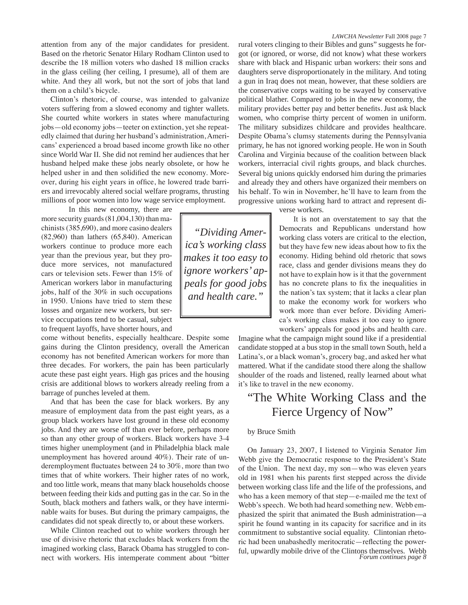Clinton's rhetoric, of course, was intended to galvanize voters suffering from a slowed economy and tighter wallets. She courted white workers in states where manufacturing jobs—old economy jobs—teeter on extinction, yet she repeatedly claimed that during her husband's administration, Americans' experienced a broad based income growth like no other since World War II. She did not remind her audiences that her husband helped make these jobs nearly obsolete, or how he helped usher in and then solidified the new economy. Moreover, during his eight years in office, he lowered trade barriers and irrevocably altered social welfare programs, thrusting millions of poor women into low wage service employment.

In this new economy, there are more security guards (81,004,130) than machinists (385,690), and more casino dealers (82,960) than lathers (65,840). American workers continue to produce more each year than the previous year, but they produce more services, not manufactured cars or television sets. Fewer than 15% of American workers labor in manufacturing jobs, half of the 30% in such occupations in 1950. Unions have tried to stem these losses and organize new workers, but service occupations tend to be casual, subject to frequent layoffs, have shorter hours, and

come without benefits, especially healthcare. Despite some gains during the Clinton presidency, overall the American economy has not benefited American workers for more than three decades. For workers, the pain has been particularly acute these past eight years. High gas prices and the housing crisis are additional blows to workers already reeling from a barrage of punches leveled at them.

And that has been the case for black workers. By any measure of employment data from the past eight years, as a group black workers have lost ground in these old economy jobs. And they are worse off than ever before, perhaps more so than any other group of workers. Black workers have 3-4 times higher unemployment (and in Philadelphia black male unemployment has hovered around 40%). Their rate of underemployment fluctuates between 24 to 30%, more than two times that of white workers. Their higher rates of no work, and too little work, means that many black households choose between feeding their kids and putting gas in the car. So in the South, black mothers and fathers walk, or they have interminable waits for buses. But during the primary campaigns, the candidates did not speak directly to, or about these workers.

While Clinton reached out to white workers through her use of divisive rhetoric that excludes black workers from the imagined working class, Barack Obama has struggled to connect with workers. His intemperate comment about "bitter

rural voters clinging to their Bibles and guns" suggests he forgot (or ignored, or worse, did not know) what these workers share with black and Hispanic urban workers: their sons and daughters serve disproportionately in the military. And toting a gun in Iraq does not mean, however, that these soldiers are the conservative corps waiting to be swayed by conservative political blather. Compared to jobs in the new economy, the military provides better pay and better benefits. Just ask black women, who comprise thirty percent of women in uniform. The military subsidizes childcare and provides healthcare. Despite Obama's clumsy statements during the Pennsylvania primary, he has not ignored working people. He won in South Carolina and Virginia because of the coalition between black workers, interracial civil rights groups, and black churches. Several big unions quickly endorsed him during the primaries and already they and others have organized their members on his behalf. To win in November, he'll have to learn from the progressive unions working hard to attract and represent di-

verse workers.

It is not an overstatement to say that the Democrats and Republicans understand how working class voters are critical to the election, but they have few new ideas about how to fix the economy. Hiding behind old rhetoric that sows race, class and gender divisions means they do not have to explain how is it that the government has no concrete plans to fix the inequalities in the nation's tax system; that it lacks a clear plan to make the economy work for workers who work more than ever before. Dividing America's working class makes it too easy to ignore workers' appeals for good jobs and health care.

Imagine what the campaign might sound like if a presidential candidate stopped at a bus stop in the small town South, held a Latina's, or a black woman's, grocery bag, and asked her what mattered. What if the candidate stood there along the shallow shoulder of the roads and listened, really learned about what it's like to travel in the new economy.

### "The White Working Class and the Fierce Urgency of Now"

#### by Bruce Smith

On January 23, 2007, I listened to Virginia Senator Jim Webb give the Democratic response to the President's State of the Union. The next day, my son—who was eleven years old in 1981 when his parents first stepped across the divide between working class life and the life of the professions, and who has a keen memory of that step—e-mailed me the text of Webb's speech. We both had heard something new. Webb emphasized the spirit that animated the Bush administration—a spirit he found wanting in its capacity for sacrifice and in its commitment to substantive social equality. Clintonian rhetoric had been unabashedly meritocratic—reflecting the powerful, upwardly mobile drive of the Clintons themselves. Webb *Forum continues page 8*

*"Dividing America's working class makes it too easy to ignore workers' appeals for good jobs and health care."*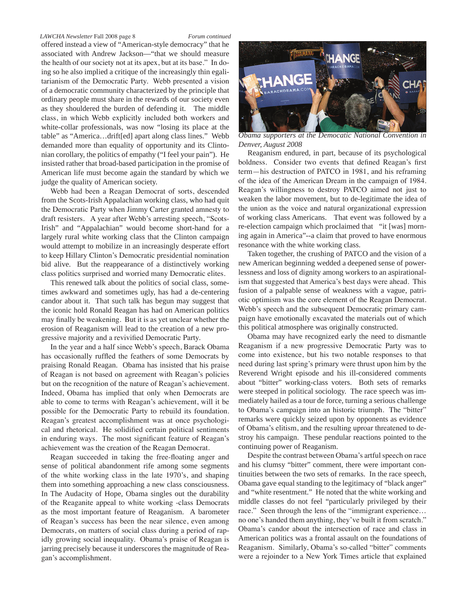#### *LAWCHA Newsletter* Fall 2008 page 8 *Forum continued*

offered instead a view of "American-style democracy" that he associated with Andrew Jackson—"that we should measure the health of our society not at its apex, but at its base." In doing so he also implied a critique of the increasingly thin egalitarianism of the Democratic Party. Webb presented a vision of a democratic community characterized by the principle that ordinary people must share in the rewards of our society even as they shouldered the burden of defending it. The middle class, in which Webb explicitly included both workers and white-collar professionals, was now "losing its place at the table" as "America…drift[ed] apart along class lines." Webb demanded more than equality of opportunity and its Clintonian corollary, the politics of empathy ("I feel your pain"). He insisted rather that broad-based participation in the promise of American life must become again the standard by which we judge the quality of American society.

Webb had been a Reagan Democrat of sorts, descended from the Scots-Irish Appalachian working class, who had quit the Democratic Party when Jimmy Carter granted amnesty to draft resisters. A year after Webb's arresting speech, "Scots-Irish" and "Appalachian" would become short-hand for a largely rural white working class that the Clinton campaign would attempt to mobilize in an increasingly desperate effort to keep Hillary Clinton's Democratic presidential nomination bid alive. But the reappearance of a distinctively working class politics surprised and worried many Democratic elites.

This renewed talk about the politics of social class, sometimes awkward and sometimes ugly, has had a de-centering candor about it. That such talk has begun may suggest that the iconic hold Ronald Reagan has had on American politics may finally be weakening. But it is as yet unclear whether the erosion of Reaganism will lead to the creation of a new progressive majority and a revivified Democratic Party.

In the year and a half since Webb's speech, Barack Obama has occasionally ruffled the feathers of some Democrats by praising Ronald Reagan. Obama has insisted that his praise of Reagan is not based on agreement with Reagan's policies but on the recognition of the nature of Reagan's achievement. Indeed, Obama has implied that only when Democrats are able to come to terms with Reagan's achievement, will it be possible for the Democratic Party to rebuild its foundation. Reagan's greatest accomplishment was at once psychological and rhetorical. He solidified certain political sentiments in enduring ways. The most significant feature of Reagan's achievement was the creation of the Reagan Democrat.

Reagan succeeded in taking the free-floating anger and sense of political abandonment rife among some segments of the white working class in the late 1970's, and shaping them into something approaching a new class consciousness. In The Audacity of Hope, Obama singles out the durability of the Reaganite appeal to white working -class Democrats as the most important feature of Reaganism. A barometer of Reagan's success has been the near silence, even among Democrats, on matters of social class during a period of rapidly growing social inequality. Obama's praise of Reagan is jarring precisely because it underscores the magnitude of Reagan's accomplishment.



*Obama supporters at the Democatic National Convention in Denver, August 2008*

Reaganism endured, in part, because of its psychological boldness. Consider two events that defined Reagan's first term—his destruction of PATCO in 1981, and his reframing of the idea of the American Dream in the campaign of 1984. Reagan's willingness to destroy PATCO aimed not just to weaken the labor movement, but to de-legitimate the idea of the union as the voice and natural organizational expression of working class Americans. That event was followed by a re-election campaign which proclaimed that "it [was] morning again in America"--a claim that proved to have enormous resonance with the white working class.

Taken together, the crushing of PATCO and the vision of a new American beginning wedded a deepened sense of powerlessness and loss of dignity among workers to an aspirationalism that suggested that America's best days were ahead. This fusion of a palpable sense of weakness with a vague, patriotic optimism was the core element of the Reagan Democrat. Webb's speech and the subsequent Democratic primary campaign have emotionally excavated the materials out of which this political atmosphere was originally constructed.

Obama may have recognized early the need to dismantle Reaganism if a new progressive Democratic Party was to come into existence, but his two notable responses to that need during last spring's primary were thrust upon him by the Reverend Wright episode and his ill-considered comments about "bitter" working-class voters. Both sets of remarks were steeped in political sociology. The race speech was immediately hailed as a tour de force, turning a serious challenge to Obama's campaign into an historic triumph. The "bitter" remarks were quickly seized upon by opponents as evidence of Obama's elitism, and the resulting uproar threatened to destroy his campaign. These pendular reactions pointed to the continuing power of Reaganism.

Despite the contrast between Obama's artful speech on race and his clumsy "bitter" comment, there were important continuities between the two sets of remarks. In the race speech, Obama gave equal standing to the legitimacy of "black anger" and "white resentment." He noted that the white working and middle classes do not feel "particularly privileged by their race." Seen through the lens of the "immigrant experience… no one's handed them anything, they've built it from scratch." Obama's candor about the intersection of race and class in American politics was a frontal assault on the foundations of Reaganism. Similarly, Obama's so-called "bitter" comments were a rejoinder to a New York Times article that explained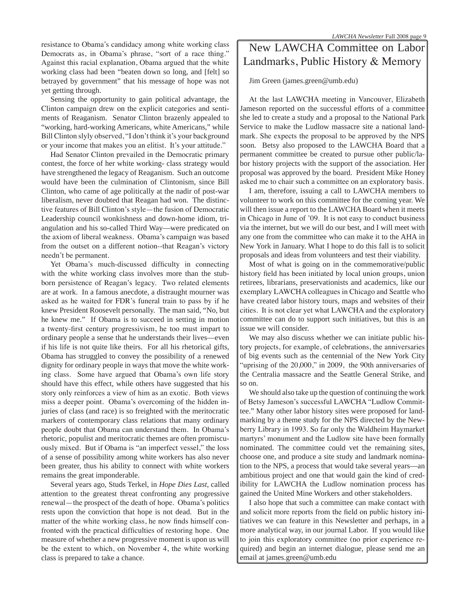Sensing the opportunity to gain political advantage, the Clinton campaign drew on the explicit categories and sentiments of Reaganism. Senator Clinton brazenly appealed to "working, hard-working Americans, white Americans," while Bill Clinton slyly observed, "I don't think it's your background or your income that makes you an elitist. It's your attitude."

Had Senator Clinton prevailed in the Democratic primary contest, the force of her white working- class strategy would have strengthened the legacy of Reaganism. Such an outcome would have been the culmination of Clintonism, since Bill Clinton, who came of age politically at the nadir of post-war liberalism, never doubted that Reagan had won. The distinctive features of Bill Clinton's style—the fusion of Democratic Leadership council wonkishness and down-home idiom, triangulation and his so-called Third Way—were predicated on the axiom of liberal weakness. Obama's campaign was based from the outset on a different notion--that Reagan's victory needn't be permanent.

Yet Obama's much-discussed difficulty in connecting with the white working class involves more than the stubborn persistence of Reagan's legacy. Two related elements are at work. In a famous anecdote, a distraught mourner was asked as he waited for FDR's funeral train to pass by if he knew President Roosevelt personally. The man said, "No, but he knew me." If Obama is to succeed in setting in motion a twenty-first century progressivism, he too must impart to ordinary people a sense that he understands their lives—even if his life is not quite like theirs. For all his rhetorical gifts, Obama has struggled to convey the possibility of a renewed dignity for ordinary people in ways that move the white working class. Some have argued that Obama's own life story should have this effect, while others have suggested that his story only reinforces a view of him as an exotic. Both views miss a deeper point. Obama's overcoming of the hidden injuries of class (and race) is so freighted with the meritocratic markers of contemporary class relations that many ordinary people doubt that Obama can understand them. In Obama's rhetoric, populist and meritocratic themes are often promiscuously mixed. But if Obama is "an imperfect vessel," the loss of a sense of possibility among white workers has also never been greater, thus his ability to connect with white workers remains the great imponderable.

Several years ago, Studs Terkel, in *Hope Dies Last*, called attention to the greatest threat confronting any progressive renewal—the prospect of the death of hope. Obama's politics rests upon the conviction that hope is not dead. But in the matter of the white working class, he now finds himself confronted with the practical difficulties of restoring hope. One measure of whether a new progressive moment is upon us will be the extent to which, on November 4, the white working class is prepared to take a chance.

### New LAWCHA Committee on Labor Landmarks, Public History & Memory

Jim Green (james.green@umb.edu)

At the last LAWCHA meeting in Vancouver, Elizabeth Jameson reported on the successful efforts of a committee she led to create a study and a proposal to the National Park Service to make the Ludlow massacre site a national landmark. She expects the proposal to be approved by the NPS soon. Betsy also proposed to the LAWCHA Board that a permanent committee be created to pursue other public/labor history projects with the support of the association. Her proposal was approved by the board. President Mike Honey asked me to chair such a committee on an exploratory basis.

I am, therefore, issuing a call to LAWCHA members to volunteer to work on this committee for the coming year. We will then issue a report to the LAWCHA Board when it meets in Chicago in June of '09. It is not easy to conduct business via the internet, but we will do our best, and I will meet with any one from the committee who can make it to the AHA in New York in January. What I hope to do this fall is to solicit proposals and ideas from volunteers and test their viability.

Most of what is going on in the commemorative/public history field has been initiated by local union groups, union retirees, librarians, preservationists and academics, like our exemplary LAWCHA colleagues in Chicago and Seattle who have created labor history tours, maps and websites of their cities. It is not clear yet what LAWCHA and the exploratory committee can do to support such initiatives, but this is an issue we will consider.

We may also discuss whether we can initiate public history projects, for example, of celebrations, the anniversaries of big events such as the centennial of the New York City "uprising of the 20,000," in 2009, the 90th anniversaries of the Centralia massacre and the Seattle General Strike, and so on.

We should also take up the question of continuing the work of Betsy Jameson's successful LAWCHA "Ludlow Committee." Many other labor history sites were proposed for landmarking by a theme study for the NPS directed by the Newberry Library in 1993. So far only the Waldheim Haymarket martyrs' monument and the Ludlow site have been formally nominated. The committee could vet the remaining sites, choose one, and produce a site study and landmark nomination to the NPS, a process that would take several years—an ambitious project and one that would gain the kind of credibility for LAWCHA the Ludlow nomination process has gained the United Mine Workers and other stakeholders.

I also hope that such a committee can make contact with and solicit more reports from the field on public history initiatives we can feature in this Newsletter and perhaps, in a more analytical way, in our journal Labor. If you would like to join this exploratory committee (no prior experience required) and begin an internet dialogue, please send me an email at james.green@umb.edu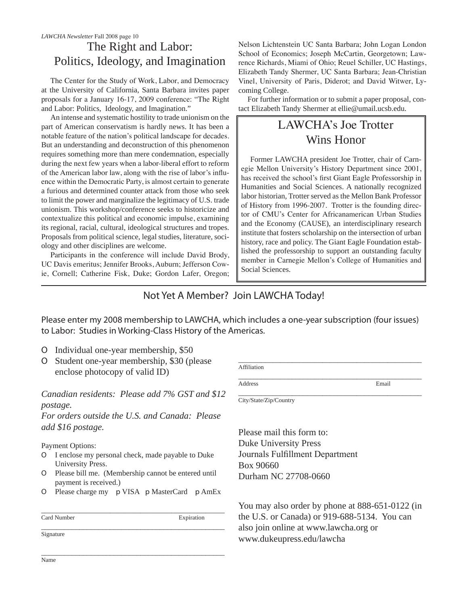### The Right and Labor: Politics, Ideology, and Imagination *LAWCHA Newsletter* Fall 2008 page 10

The Center for the Study of Work, Labor, and Democracy at the University of California, Santa Barbara invites paper proposals for a January 16-17, 2009 conference: "The Right and Labor: Politics, Ideology, and Imagination."

An intense and systematic hostility to trade unionism on the part of American conservatism is hardly news. It has been a notable feature of the nation's political landscape for decades. But an understanding and deconstruction of this phenomenon requires something more than mere condemnation, especially during the next few years when a labor-liberal effort to reform of the American labor law, along with the rise of labor's influence within the Democratic Party, is almost certain to generate a furious and determined counter attack from those who seek to limit the power and marginalize the legitimacy of U.S. trade unionism. This workshop/conference seeks to historicize and contextualize this political and economic impulse, examining its regional, racial, cultural, ideological structures and tropes. Proposals from political science, legal studies, literature, sociology and other disciplines are welcome.

Participants in the conference will include David Brody, UC Davis emeritus; Jennifer Brooks, Auburn; Jefferson Cowie, Cornell; Catherine Fisk, Duke; Gordon Lafer, Oregon;

Nelson Lichtenstein UC Santa Barbara; John Logan London School of Economics; Joseph McCartin, Georgetown; Lawrence Richards, Miami of Ohio; Reuel Schiller, UC Hastings, Elizabeth Tandy Shermer, UC Santa Barbara; Jean-Christian Vinel, University of Paris, Diderot; and David Witwer, Lycoming College.

For further information or to submit a paper proposal, contact Elizabeth Tandy Shermer at ellie@umail.ucsb.edu.

### LAWCHA's Joe Trotter Wins Honor

Former LAWCHA president Joe Trotter, chair of Carnegie Mellon University's History Department since 2001, has received the school's first Giant Eagle Professorship in Humanities and Social Sciences. A nationally recognized labor historian, Trotter served as the Mellon Bank Professor of History from 1996-2007. Trotter is the founding director of CMU's Center for Africanamerican Urban Studies and the Economy (CAUSE), an interdisciplinary research institute that fosters scholarship on the intersection of urban history, race and policy. The Giant Eagle Foundation established the professorship to support an outstanding faculty member in Carnegie Mellon's College of Humanities and Social Sciences.

### Not Yet A Member? Join LAWCHA Today!

Please enter my 2008 membership to LAWCHA, which includes a one-year subscription (four issues) to Labor: Studies in Working-Class History of the Americas.

- ɶ Individual one-year membership, \$50
- ɶ Student one-year membership, \$30 (please enclose photocopy of valid ID)

### *Canadian residents: Please add 7% GST and \$12 postage.*

*For orders outside the U.S. and Canada: Please add \$16 postage.*

Payment Options:

- ɶ I enclose my personal check, made payable to Duke University Press.
- ɶ Please bill me. (Membership cannot be entered until payment is received.)
- ɶ Please charge my p VISA p MasterCard p AmEx

| Card Number | Expiration |
|-------------|------------|
| Signature   |            |

\_\_\_\_\_\_\_\_\_\_\_\_\_\_\_\_\_\_\_\_\_\_\_\_\_\_\_\_\_\_\_\_\_\_\_\_\_\_\_\_\_\_\_\_\_\_\_\_

\_\_\_\_\_\_\_\_\_\_\_\_\_\_\_\_\_\_\_\_\_\_\_\_\_\_\_\_\_\_\_\_\_\_\_\_\_\_\_\_\_\_\_\_\_\_\_\_ Affiliation

Address Email

\_\_\_\_\_\_\_\_\_\_\_\_\_\_\_\_\_\_\_\_\_\_\_\_\_\_\_\_\_\_\_\_\_\_\_\_\_\_\_\_\_\_\_\_\_\_\_\_ City/State/Zip/Country

Please mail this form to: Duke University Press Journals Fulfillment Department Box 90660 Durham NC 27708-0660

You may also order by phone at 888-651-0122 (in the U.S. or Canada) or 919-688-5134. You can also join online at www.lawcha.org or www.dukeupress.edu/lawcha

\_\_\_\_\_\_\_\_\_\_\_\_\_\_\_\_\_\_\_\_\_\_\_\_\_\_\_\_\_\_\_\_\_\_\_\_\_\_\_\_\_\_\_\_\_\_\_\_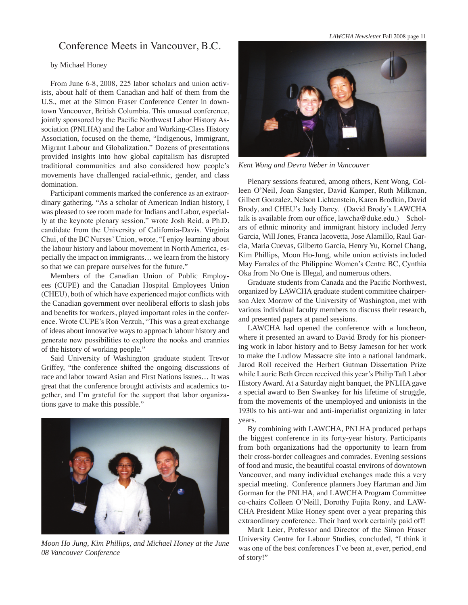Conference Meets in Vancouver, B.C.

*LAWCHA Newsletter* Fall 2008 page 11

#### by Michael Honey

From June 6-8, 2008, 225 labor scholars and union activists, about half of them Canadian and half of them from the U.S., met at the Simon Fraser Conference Center in downtown Vancouver, British Columbia. This unusual conference, jointly sponsored by the Pacific Northwest Labor History Association (PNLHA) and the Labor and Working-Class History Association, focused on the theme, "Indigenous, Immigrant, Migrant Labour and Globalization." Dozens of presentations provided insights into how global capitalism has disrupted traditional communities and also considered how people's movements have challenged racial-ethnic, gender, and class domination.

Participant comments marked the conference as an extraordinary gathering. "As a scholar of American Indian history, I was pleased to see room made for Indians and Labor, especially at the keynote plenary session," wrote Josh Reid, a Ph.D. candidate from the University of California-Davis. Virginia Chui, of the BC Nurses' Union, wrote, "I enjoy learning about the labour history and labour movement in North America, especially the impact on immigrants… we learn from the history so that we can prepare ourselves for the future."

Members of the Canadian Union of Public Employees (CUPE) and the Canadian Hospital Employees Union (CHEU), both of which have experienced major conflicts with the Canadian government over neoliberal efforts to slash jobs and benefits for workers, played important roles in the conference. Wrote CUPE's Ron Verzuh, "This was a great exchange of ideas about innovative ways to approach labour history and generate new possibilities to explore the nooks and crannies of the history of working people."

Said University of Washington graduate student Trevor Griffey, "the conference shifted the ongoing discussions of race and labor toward Asian and First Nations issues… It was great that the conference brought activists and academics together, and I'm grateful for the support that labor organizations gave to make this possible."



*Moon Ho Jung, Kim Phillips, and Michael Honey at the June 08 Vancouver Conference* 



*Kent Wong and Devra Weber in Vancouver*

Plenary sessions featured, among others, Kent Wong, Colleen O'Neil, Joan Sangster, David Kamper, Ruth Milkman, Gilbert Gonzalez, Nelson Lichtenstein, Karen Brodkin, David Brody, and CHEU's Judy Darcy. (David Brody's LAWCHA talk is available from our office, lawcha@duke.edu.) Scholars of ethnic minority and immigrant history included Jerry Garcia, Will Jones, Franca Iacovetta, Jose Alamillo, Raul Garcia, Maria Cuevas, Gilberto Garcia, Henry Yu, Kornel Chang, Kim Phillips, Moon Ho-Jung, while union activists included May Farrales of the Philippine Women's Centre BC, Cynthia Oka from No One is Illegal, and numerous others.

Graduate students from Canada and the Pacific Northwest, organized by LAWCHA graduate student committee chairperson Alex Morrow of the University of Washington, met with various individual faculty members to discuss their research, and presented papers at panel sessions.

LAWCHA had opened the conference with a luncheon, where it presented an award to David Brody for his pioneering work in labor history and to Betsy Jameson for her work to make the Ludlow Massacre site into a national landmark. Jarod Roll received the Herbert Gutman Dissertation Prize while Laurie Beth Green received this year's Philip Taft Labor History Award. At a Saturday night banquet, the PNLHA gave a special award to Ben Swankey for his lifetime of struggle, from the movements of the unemployed and unionists in the 1930s to his anti-war and anti-imperialist organizing in later years.

By combining with LAWCHA, PNLHA produced perhaps the biggest conference in its forty-year history. Participants from both organizations had the opportunity to learn from their cross-border colleagues and comrades. Evening sessions of food and music, the beautiful coastal environs of downtown Vancouver, and many individual exchanges made this a very special meeting. Conference planners Joey Hartman and Jim Gorman for the PNLHA, and LAWCHA Program Committee co-chairs Colleen O'Neill, Dorothy Fujita Rony, and LAW-CHA President Mike Honey spent over a year preparing this extraordinary conference. Their hard work certainly paid off!

Mark Leier, Professor and Director of the Simon Fraser University Centre for Labour Studies, concluded, "I think it was one of the best conferences I've been at, ever, period, end of story!"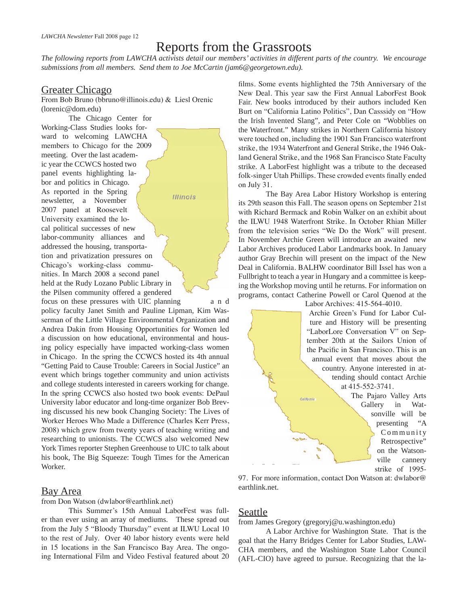### Reports from the Grassroots

*The following reports from LAWCHA activists detail our members' activities in different parts of the country. We encourage submissions from all members. Send them to Joe McCartin (jam6@georgetown.edu).*

### Greater Chicago

From Bob Bruno (bbruno@illinois.edu) & Liesl Orenic (lorenic@dom.edu)

**Illinois** 

The Chicago Center for Working-Class Studies looks forward to welcoming LAWCHA members to Chicago for the 2009 meeting. Over the last academic year the CCWCS hosted two panel events highlighting labor and politics in Chicago. As reported in the Spring newsletter, a November 2007 panel at Roosevelt University examined the local political successes of new labor-community alliances and addressed the housing, transportation and privatization pressures on Chicago's working-class communities. In March 2008 a second panel held at the Rudy Lozano Public Library in the Pilsen community offered a gendered

focus on these pressures with UIC planning a n d policy faculty Janet Smith and Pauline Lipman, Kim Wasserman of the Little Village Environmental Organization and Andrea Dakin from Housing Opportunities for Women led a discussion on how educational, environmental and housing policy especially have impacted working-class women in Chicago. In the spring the CCWCS hosted its 4th annual "Getting Paid to Cause Trouble: Careers in Social Justice" an event which brings together community and union activists and college students interested in careers working for change. In the spring CCWCS also hosted two book events: DePaul University labor educator and long-time organizer Bob Breving discussed his new book Changing Society: The Lives of Worker Heroes Who Made a Difference (Charles Kerr Press, 2008) which grew from twenty years of teaching writing and researching to unionists. The CCWCS also welcomed New York Times reporter Stephen Greenhouse to UIC to talk about his book, The Big Squeeze: Tough Times for the American Worker.

### Bay Area

from Don Watson (dwlabor@earthlink.net)

This Summer's 15th Annual LaborFest was fuller than ever using an array of mediums. These spread out from the July 5 "Bloody Thursday" event at ILWU Local 10 to the rest of July. Over 40 labor history events were held in 15 locations in the San Francisco Bay Area. The ongoing International Film and Video Festival featured about 20 films. Some events highlighted the 75th Anniversary of the New Deal. This year saw the First Annual LaborFest Book Fair. New books introduced by their authors included Ken Burt on "California Latino Politics", Dan Casssidy on "How the Irish Invented Slang", and Peter Cole on "Wobblies on the Waterfront." Many strikes in Northern California history were touched on, including the 1901 San Francisco waterfront strike, the 1934 Waterfront and General Strike, the 1946 Oakland General Strike, and the 1968 San Francisco State Faculty strike. A LaborFest highlight was a tribute to the deceased folk-singer Utah Phillips. These crowded events finally ended on July 31.

The Bay Area Labor History Workshop is entering its 29th season this Fall. The season opens on September 21st with Richard Bermack and Robin Walker on an exhibit about the ILWU 1948 Waterfront Strike. In October Rhian Miller from the television series "We Do the Work" will present. In November Archie Green will introduce an awaited new Labor Archives produced Labor Landmarks book. In January author Gray Brechin will present on the impact of the New Deal in California. BALHW coordinator Bill Issel has won a Fullbright to teach a year in Hungary and a committee is keeping the Workshop moving until he returns. For information on programs, contact Catherine Powell or Carol Quenod at the

Labor Archives: 415-564-4010.

Archie Green's Fund for Labor Culture and History will be presenting "LaborLore Conversation V" on September 20th at the Sailors Union of the Pacific in San Francisco. This is an annual event that moves about the country. Anyone interested in attending should contact Archie at 415-552-3741.

The Pajaro Valley Arts Gallery in Watsonville will be presenting "A Community Retrospective" on the Watsonville cannery strike of 1995-

97. For more information, contact Don Watson at: dwlabor@ earthlink.net.

### Seattle

from James Gregory (gregoryj@u.washington.edu)

A Labor Archive for Washington State. That is the goal that the Harry Bridges Center for Labor Studies, LAW-CHA members, and the Washington State Labor Council (AFL-CIO) have agreed to pursue. Recognizing that the la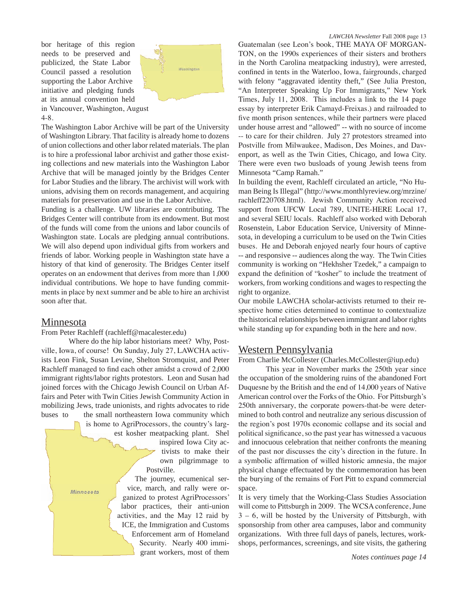bor heritage of this region needs to be preserved and publicized, the State Labor Council passed a resolution supporting the Labor Archive initiative and pledging funds at its annual convention held in Vancouver, Washington, August 4-8.



The Washington Labor Archive will be part of the University of Washington Library. That facility is already home to dozens of union collections and other labor related materials. The plan is to hire a professional labor archivist and gather those existing collections and new materials into the Washington Labor Archive that will be managed jointly by the Bridges Center for Labor Studies and the library. The archivist will work with unions, advising them on records management, and acquiring materials for preservation and use in the Labor Archive.

Funding is a challenge. UW libraries are contributing. The Bridges Center will contribute from its endowment. But most of the funds will come from the unions and labor councils of Washington state. Locals are pledging annual contributions. We will also depend upon individual gifts from workers and friends of labor. Working people in Washington state have a history of that kind of generosity. The Bridges Center itself operates on an endowment that derives from more than 1,000 individual contributions. We hope to have funding commitments in place by next summer and be able to hire an archivist soon after that.

#### Minnesota

Minnesota

From Peter Rachleff (rachleff@macalester.edu)

Where do the hip labor historians meet? Why, Postville, Iowa, of course! On Sunday, July 27, LAWCHA activists Leon Fink, Susan Levine, Shelton Stromquist, and Peter Rachleff managed to find each other amidst a crowd of 2,000 immigrant rights/labor rights protestors. Leon and Susan had joined forces with the Chicago Jewish Council on Urban Affairs and Peter with Twin Cities Jewish Community Action in mobilizing Jews, trade unionists, and rights advocates to ride buses to the small northeastern Iowa community which is home to AgriProcessors, the country's larg-

est kosher meatpacking plant. Shel inspired Iowa City ac-

> tivists to make their own pilgrimmage to Postville.

The journey, ecumenical service, march, and rally were organized to protest AgriProcessors' labor practices, their anti-union activities, and the May 12 raid by ICE, the Immigration and Customs Enforcement arm of Homeland Security. Nearly 400 immigrant workers, most of them

#### *LAWCHA Newsletter* Fall 2008 page 13

Guatemalan (see Leon's book, THE MAYA OF MORGAN-TON, on the 1990s experiences of their sisters and brothers in the North Carolina meatpacking industry), were arrested, confined in tents in the Waterloo, Iowa, fairgrounds, charged with felony "aggravated identity theft," (See Julia Preston, "An Interpreter Speaking Up For Immigrants," New York Times, July 11, 2008. This includes a link to the 14 page essay by interpreter Erik Camayd-Freixas.) and railroaded to five month prison sentences, while their partners were placed under house arrest and "allowed" -- with no source of income -- to care for their children. July 27 protestors streamed into Postville from Milwaukee, Madison, Des Moines, and Davenport, as well as the Twin Cities, Chicago, and Iowa City. There were even two busloads of young Jewish teens from Minnesota "Camp Ramah."

In building the event, Rachleff circulated an article, "No Human Being Is Illegal" (http://www.monthlyreview.org/mrzine/ rachleff220708.html). Jewish Community Action received support from UFCW Local 789, UNITE-HERE Local 17, and several SEIU locals. Rachleff also worked with Deborah Rosenstein, Labor Education Service, University of Minnesota, in developing a curriculum to be used on the Twin Cities buses. He and Deborah enjoyed nearly four hours of captive -- and responsive -- audiences along the way. The Twin Cities community is working on "Hekhsher Tzedek," a campaign to expand the definition of "kosher" to include the treatment of workers, from working conditions and wages to respecting the right to organize.

Our mobile LAWCHA scholar-activists returned to their respective home cities determined to continue to contextualize the historical relationships between immigrant and labor rights while standing up for expanding both in the here and now.

### Western Pennsylvania

From Charlie McCollester (Charles.McCollester@iup.edu)

This year in November marks the 250th year since the occupation of the smoldering ruins of the abandoned Fort Duquesne by the British and the end of 14,000 years of Native American control over the Forks of the Ohio. For Pittsburgh's 250th anniversary, the corporate powers-that-be were determined to both control and neutralize any serious discussion of the region's post 1970s economic collapse and its social and political significance, so the past year has witnessed a vacuous and innocuous celebration that neither confronts the meaning of the past nor discusses the city's direction in the future. In a symbolic affirmation of willed historic amnesia, the major physical change effectuated by the commemoration has been the burying of the remains of Fort Pitt to expand commercial space.

It is very timely that the Working-Class Studies Association will come to Pittsburgh in 2009. The WCSA conference, June 3 – 6, will be hosted by the University of Pittsburgh, with sponsorship from other area campuses, labor and community organizations. With three full days of panels, lectures, workshops, performances, screenings, and site visits, the gathering

*Notes continues page 14*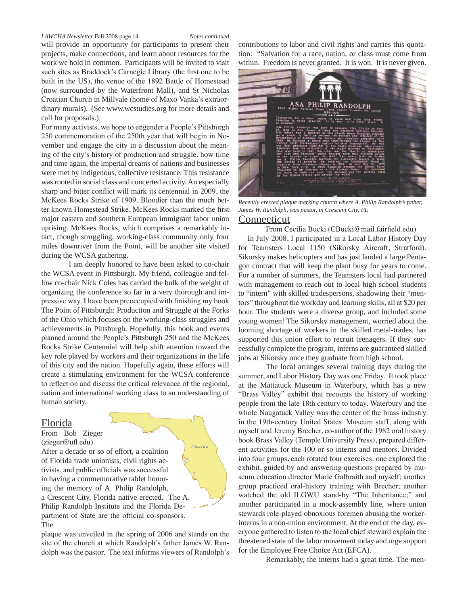#### *LAWCHA Newsletter* Fall 2008 page 14 *Notes continued*

will provide an opportunity for participants to present their projects, make connections, and learn about resources for the work we hold in common. Participants will be invited to visit such sites as Braddock's Carnegie Library (the first one to be built in the US), the venue of the 1892 Battle of Homestead (now surrounded by the Waterfront Mall), and St Nicholas Croatian Church in Millvale (home of Maxo Vanka's extraordinary murals). (See www.wcstudies.org for more details and call for proposals.)

For many activists, we hope to engender a People's Pittsburgh 250 commemoration of the 250th year that will begin in November and engage the city in a discussion about the meaning of the city's history of production and struggle, how time and time again, the imperial dreams of nations and businesses were met by indigenous, collective resistance. This resistance was rooted in social class and concerted activity. An especially sharp and bitter conflict will mark its centennial in 2009, the McKees Rocks Strike of 1909. Bloodier than the much better known Homestead Strike, McKees Rocks marked the first major eastern and southern European immigrant labor union uprising. McKees Rocks, which comprises a remarkably intact, though struggling, working-class community only four miles downriver from the Point, will be another site visited during the WCSA gathering.

I am deeply honored to have been asked to co-chair the WCSA event in Pittsburgh. My friend, colleague and fellow co-chair Nick Coles has carried the bulk of the weight of organizing the conference so far in a very thorough and impressive way. I have been preoccupied with finishing my book The Point of Pittsburgh: Production and Struggle at the Forks of the Ohio which focuses on the working-class struggles and achievements in Pittsburgh. Hopefully, this book and events planned around the People's Pittsburgh 250 and the McKees Rocks Strike Centennial will help shift attention toward the key role played by workers and their organizations in the life of this city and the nation. Hopefully again, these efforts will create a stimulating environment for the WCSA conference to reflect on and discuss the critical relevance of the regional, nation and international working class to an understanding of human society.

#### Florida

From Bob Zieger (zieger@ufl.edu)

After a decade or so of effort, a coalition of Florida trade unionists, civil rights activists, and public officials was successful in having a commemorative tablet honoring the memory of A. Philip Randolph, a Crescent City, Florida native erected. The A. Philip Randolph Institute and the Florida Department of State are the official co-sponsors. The

plaque was unveiled in the spring of 2006 and stands on the site of the church at which Randolph's father James W. Randolph was the pastor. The text informs viewers of Randolph's

Florida

contributions to labor and civil rights and carries this quotation: "Salvation for a race, nation, or class must come from within. Freedom is never granted. It is won. It is never given.



*Recently erected plaque marking church where A. Philip Randolph's father, James W. Randolph, was pastor, in Crescent City, FL*

#### Connecticut

From Cecilia Bucki (CBucki@mail.fairfield.edu) In July 2008, I participated in a Local Labor History Day for Teamsters Local 1150 (Sikorsky Aircraft, Stratford). Sikorsky makes helicopters and has just landed a large Pentagon contract that will keep the plant busy for years to come. For a number of summers, the Teamsters local had partnered with management to reach out to local high school students to "intern" with skilled tradespersons, shadowing their "mentors" throughout the workday and learning skills, all at \$20 per hour. The students were a diverse group, and included some young women! The Sikorsky management, worried about the looming shortage of workers in the skilled metal-trades, has supported this union effort to recruit teenagers. If they successfully complete the program, interns are guaranteed skilled jobs at Sikorsky once they graduate from high school.

The local arranges several training days during the summer, and Labor History Day was one Friday. It took place at the Mattatuck Museum in Waterbury, which has a new "Brass Valley" exhibit that recounts the history of working people from the late 18th century to today. Waterbury and the whole Naugatuck Valley was the center of the brass industry in the 19th-century United States. Museum staff, along with myself and Jeremy Brecher, co-author of the 1982 oral history book Brass Valley (Temple University Press), prepared different activities for the 100 or so interns and mentors. Divided into four groups, each rotated four exercises: one explored the exhibit, guided by and answering questions prepared by museum education director Marie Galbraith and myself; another group practiced oral-history training with Brecher; another watched the old ILGWU stand-by "The Inheritance;" and another participated in a mock-assembly line, where union stewards role-played obnoxious foremen abusing the workerinterns in a non-union environment. At the end of the day, everyone gathered to listen to the local chief steward explain the threatened state of the labor movement today and urge support for the Employee Free Choice Act (EFCA).

Remarkably, the interns had a great time. The men-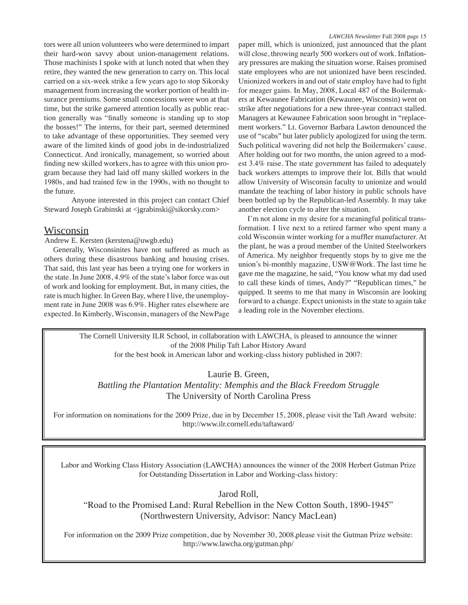tors were all union volunteers who were determined to impart their hard-won savvy about union-management relations. Those machinists I spoke with at lunch noted that when they retire, they wanted the new generation to carry on. This local carried on a six-week strike a few years ago to stop Sikorsky management from increasing the worker portion of health insurance premiums. Some small concessions were won at that time, but the strike garnered attention locally as public reaction generally was "finally someone is standing up to stop the bosses!" The interns, for their part, seemed determined to take advantage of these opportunities. They seemed very aware of the limited kinds of good jobs in de-industrialized Connecticut. And ironically, management, so worried about finding new skilled workers, has to agree with this union program because they had laid off many skilled workers in the 1980s, and had trained few in the 1990s, with no thought to the future.

Anyone interested in this project can contact Chief Steward Joseph Grabinski at <jgrabinski@sikorsky.com>

### **Wisconsin**

Andrew E. Kersten (kerstena@uwgb.edu)

Generally, Wisconsinites have not suffered as much as others during these disastrous banking and housing crises. That said, this last year has been a trying one for workers in the state. In June 2008, 4.9% of the state's labor force was out of work and looking for employment. But, in many cities, the rate is much higher. In Green Bay, where I live, the unemployment rate in June 2008 was 6.9%. Higher rates elsewhere are expected. In Kimberly, Wisconsin, managers of the NewPage

paper mill, which is unionized, just announced that the plant will close, throwing nearly 500 workers out of work. Inflationary pressures are making the situation worse. Raises promised state employees who are not unionized have been rescinded. Unionized workers in and out of state employ have had to fight for meager gains. In May, 2008, Local 487 of the Boilermakers at Kewaunee Fabrication (Kewaunee, Wisconsin) went on strike after negotiations for a new three-year contract stalled. Managers at Kewaunee Fabrication soon brought in "replacement workers." Lt. Governor Barbara Lawton denounced the use of "scabs" but later publicly apologized for using the term. Such political wavering did not help the Boilermakers' cause. After holding out for two months, the union agreed to a modest 3.4% raise. The state government has failed to adequately back workers attempts to improve their lot. Bills that would allow University of Wisconsin faculty to unionize and would mandate the teaching of labor history in public schools have been bottled up by the Republican-led Assembly. It may take another election cycle to alter the situation.

I'm not alone in my desire for a meaningful political transformation. I live next to a retired farmer who spent many a cold Wisconsin winter working for a muffler manufacturer. At the plant, he was a proud member of the United Steelworkers of America. My neighbor frequently stops by to give me the union's bi-monthly magazine, USW@Work. The last time he gave me the magazine, he said, "You know what my dad used to call these kinds of times, Andy?" "Republican times," he quipped. It seems to me that many in Wisconsin are looking forward to a change. Expect unionists in the state to again take a leading role in the November elections.

The Cornell University ILR School, in collaboration with LAWCHA, is pleased to announce the winner of the 2008 Philip Taft Labor History Award for the best book in American labor and working-class history published in 2007:

Laurie B. Green,

*Battling the Plantation Mentality: Memphis and the Black Freedom Struggle* The University of North Carolina Press

For information on nominations for the 2009 Prize, due in by December 15, 2008, please visit the Taft Award website: http://www.ilr.cornell.edu/taftaward/

Labor and Working Class History Association (LAWCHA) announces the winner of the 2008 Herbert Gutman Prize for Outstanding Dissertation in Labor and Working-class history:

Jarod Roll,

"Road to the Promised Land: Rural Rebellion in the New Cotton South, 1890-1945" (Northwestern University, Advisor: Nancy MacLean)

For information on the 2009 Prize competition, due by November 30, 2008, please visit the Gutman Prize website: http://www.lawcha.org/gutman.php/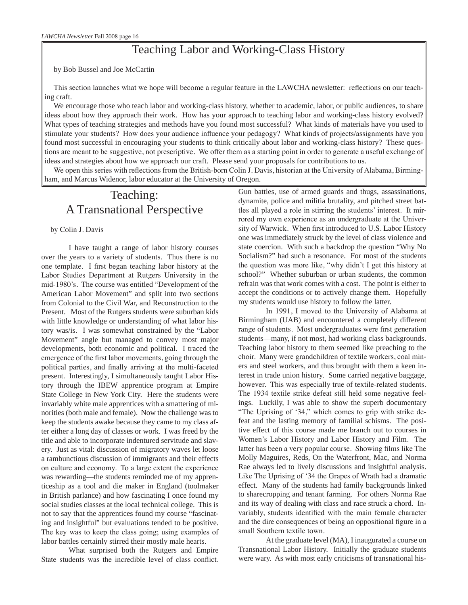### Teaching Labor and Working-Class History

by Bob Bussel and Joe McCartin

This section launches what we hope will become a regular feature in the LAWCHA newsletter: reflections on our teaching craft.

We encourage those who teach labor and working-class history, whether to academic, labor, or public audiences, to share ideas about how they approach their work. How has your approach to teaching labor and working-class history evolved? What types of teaching strategies and methods have you found most successful? What kinds of materials have you used to stimulate your students? How does your audience influence your pedagogy? What kinds of projects/assignments have you found most successful in encouraging your students to think critically about labor and working-class history? These questions are meant to be suggestive, not prescriptive. We offer them as a starting point in order to generate a useful exchange of ideas and strategies about how we approach our craft. Please send your proposals for contributions to us.

We open this series with reflections from the British-born Colin J. Davis, historian at the University of Alabama, Birmingham, and Marcus Widenor, labor educator at the University of Oregon.

### Teaching: A Transnational Perspective

by Colin J. Davis

I have taught a range of labor history courses over the years to a variety of students. Thus there is no one template. I first began teaching labor history at the Labor Studies Department at Rutgers University in the mid-1980's. The course was entitled "Development of the American Labor Movement" and split into two sections from Colonial to the Civil War, and Reconstruction to the Present. Most of the Rutgers students were suburban kids with little knowledge or understanding of what labor history was/is. I was somewhat constrained by the "Labor Movement" angle but managed to convey most major developments, both economic and political. I traced the emergence of the first labor movements, going through the political parties, and finally arriving at the multi-faceted present. Interestingly, I simultaneously taught Labor History through the IBEW apprentice program at Empire State College in New York City. Here the students were invariably white male apprentices with a smattering of minorities (both male and female). Now the challenge was to keep the students awake because they came to my class after either a long day of classes or work. I was freed by the title and able to incorporate indentured servitude and slavery. Just as vital: discussion of migratory waves let loose a rambunctious discussion of immigrants and their effects on culture and economy. To a large extent the experience was rewarding—the students reminded me of my apprenticeship as a tool and die maker in England (toolmaker in British parlance) and how fascinating I once found my social studies classes at the local technical college. This is not to say that the apprentices found my course "fascinating and insightful" but evaluations tended to be positive. The key was to keep the class going; using examples of labor battles certainly stirred their mostly male hearts.

What surprised both the Rutgers and Empire State students was the incredible level of class conflict. Gun battles, use of armed guards and thugs, assassinations, dynamite, police and militia brutality, and pitched street battles all played a role in stirring the students' interest. It mirrored my own experience as an undergraduate at the University of Warwick. When first introduced to U.S. Labor History one was immediately struck by the level of class violence and state coercion. With such a backdrop the question "Why No Socialism?" had such a resonance. For most of the students the question was more like, "why didn't I get this history at school?" Whether suburban or urban students, the common refrain was that work comes with a cost. The point is either to accept the conditions or to actively change them. Hopefully my students would use history to follow the latter.

In 1991, I moved to the University of Alabama at Birmingham (UAB) and encountered a completely different range of students. Most undergraduates were first generation students—many, if not most, had working class backgrounds. Teaching labor history to them seemed like preaching to the choir. Many were grandchildren of textile workers, coal miners and steel workers, and thus brought with them a keen interest in trade union history. Some carried negative baggage, however. This was especially true of textile-related students. The 1934 textile strike defeat still held some negative feelings. Luckily, I was able to show the superb documentary "The Uprising of '34," which comes to grip with strike defeat and the lasting memory of familial schisms. The positive effect of this course made me branch out to courses in Women's Labor History and Labor History and Film. The latter has been a very popular course. Showing films like The Molly Maguires, Reds, On the Waterfront, Mac, and Norma Rae always led to lively discussions and insightful analysis. Like The Uprising of '34 the Grapes of Wrath had a dramatic effect. Many of the students had family backgrounds linked to sharecropping and tenant farming. For others Norma Rae and its way of dealing with class and race struck a chord. Invariably, students identified with the main female character and the dire consequences of being an oppositional figure in a small Southern textile town.

At the graduate level (MA), I inaugurated a course on Transnational Labor History. Initially the graduate students were wary. As with most early criticisms of transnational his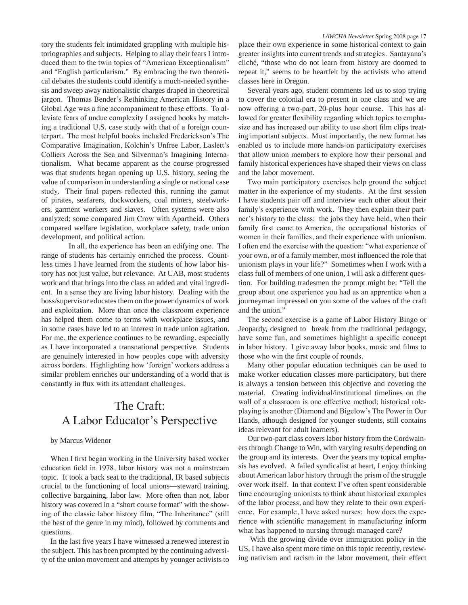tory the students felt intimidated grappling with multiple historiographies and subjects. Helping to allay their fears I introduced them to the twin topics of "American Exceptionalism" and "English particularism." By embracing the two theoretical debates the students could identify a much-needed synthesis and sweep away nationalistic charges draped in theoretical jargon. Thomas Bender's Rethinking American History in a Global Age was a fine accompaniment to these efforts. To alleviate fears of undue complexity I assigned books by matching a traditional U.S. case study with that of a foreign counterpart. The most helpful books included Frederickson's The Comparative Imagination, Kolchin's Unfree Labor, Laslett's Colliers Across the Sea and Silverman's Imagining Internationalism. What became apparent as the course progressed was that students began opening up U.S. history, seeing the value of comparison in understanding a single or national case study. Their final papers reflected this, running the gamut of pirates, seafarers, dockworkers, coal miners, steelworkers, garment workers and slaves. Often systems were also analyzed; some compared Jim Crow with Apartheid. Others compared welfare legislation, workplace safety, trade union development, and political action.

In all, the experience has been an edifying one. The range of students has certainly enriched the process. Countless times I have learned from the students of how labor history has not just value, but relevance. At UAB, most students work and that brings into the class an added and vital ingredient. In a sense they are living labor history. Dealing with the boss/supervisor educates them on the power dynamics of work and exploitation. More than once the classroom experience has helped them come to terms with workplace issues, and in some cases have led to an interest in trade union agitation. For me, the experience continues to be rewarding, especially as I have incorporated a transnational perspective. Students are genuinely interested in how peoples cope with adversity across borders. Highlighting how 'foreign' workers address a similar problem enriches our understanding of a world that is constantly in flux with its attendant challenges.

### The Craft: A Labor Educator's Perspective

#### by Marcus Widenor

When I first began working in the University based worker education field in 1978, labor history was not a mainstream topic. It took a back seat to the traditional, IR based subjects crucial to the functioning of local unions—steward training, collective bargaining, labor law. More often than not, labor history was covered in a "short course format" with the showing of the classic labor history film, "The Inheritance" (still the best of the genre in my mind), followed by comments and questions.

In the last five years I have witnessed a renewed interest in the subject. This has been prompted by the continuing adversity of the union movement and attempts by younger activists to

place their own experience in some historical context to gain greater insights into current trends and strategies. Santayana's cliché, "those who do not learn from history are doomed to repeat it," seems to be heartfelt by the activists who attend classes here in Oregon.

Several years ago, student comments led us to stop trying to cover the colonial era to present in one class and we are now offering a two-part, 20-plus hour course. This has allowed for greater flexibility regarding which topics to emphasize and has increased our ability to use short film clips treating important subjects. Most importantly, the new format has enabled us to include more hands-on participatory exercises that allow union members to explore how their personal and family historical experiences have shaped their views on class and the labor movement.

Two main participatory exercises help ground the subject matter in the experience of my students. At the first session I have students pair off and interview each other about their family's experience with work. They then explain their partner's history to the class: the jobs they have held, when their family first came to America, the occupational histories of women in their families, and their experience with unionism. I often end the exercise with the question: "what experience of your own, or of a family member, most influenced the role that unionism plays in your life?" Sometimes when I work with a class full of members of one union, I will ask a different question. For building tradesmen the prompt might be: "Tell the group about one experience you had as an apprentice when a journeyman impressed on you some of the values of the craft and the union."

The second exercise is a game of Labor History Bingo or Jeopardy, designed to break from the traditional pedagogy, have some fun, and sometimes highlight a specific concept in labor history. I give away labor books, music and films to those who win the first couple of rounds.

Many other popular education techniques can be used to make worker education classes more participatory, but there is always a tension between this objective and covering the material. Creating individual/institutional timelines on the wall of a classroom is one effective method; historical roleplaying is another (Diamond and Bigelow's The Power in Our Hands, athough designed for younger students, still contains ideas relevant for adult learners).

Our two-part class covers labor history from the Cordwainers through Change to Win, with varying results depending on the group and its interests. Over the years my topical emphasis has evolved. A failed syndicalist at heart, I enjoy thinking about American labor history through the prism of the struggle over work itself. In that context I've often spent considerable time encouraging unionists to think about historical examples of the labor process, and how they relate to their own experience. For example, I have asked nurses: how does the experience with scientific management in manufacturing inform what has happened to nursing through managed care?

 With the growing divide over immigration policy in the US, I have also spent more time on this topic recently, reviewing nativism and racism in the labor movement, their effect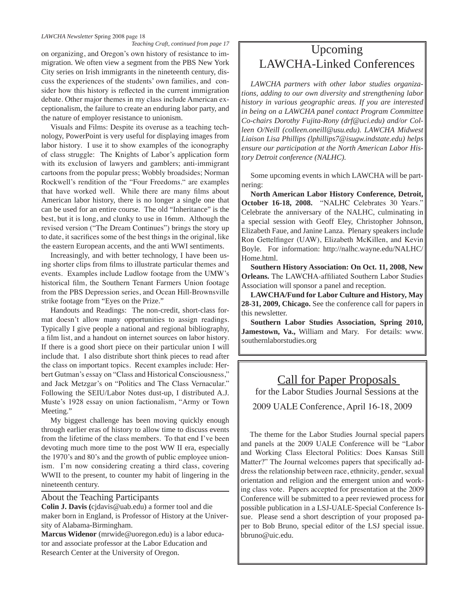#### *LAWCHA Newsletter* Spring 2008 page 18

Teaching Craft, continued from page 17<br>
on organizing, and Oregon's own history of resistance to im-<br>
Upcoming migration. We often view a segment from the PBS New York City series on Irish immigrants in the nineteenth century, discuss the experiences of the students' own families, and consider how this history is reflected in the current immigration debate. Other major themes in my class include American exceptionalism, the failure to create an enduring labor party, and the nature of employer resistance to unionism.

Visuals and Films: Despite its overuse as a teaching technology, PowerPoint is very useful for displaying images from labor history. I use it to show examples of the iconography of class struggle: The Knights of Labor's application form with its exclusion of lawyers and gamblers; anti-immigrant cartoons from the popular press; Wobbly broadsides; Norman Rockwell's rendition of the "Four Freedoms." are examples that have worked well. While there are many films about American labor history, there is no longer a single one that can be used for an entire course. The old "Inheritance" is the best, but it is long, and clunky to use in 16mm. Although the revised version ("The Dream Continues") brings the story up to date, it sacrifices some of the best things in the original, like the eastern European accents, and the anti WWI sentiments.

Increasingly, and with better technology, I have been using shorter clips from films to illustrate particular themes and events. Examples include Ludlow footage from the UMW's historical film, the Southern Tenant Farmers Union footage from the PBS Depression series, and Ocean Hill-Brownsville strike footage from "Eyes on the Prize."

Handouts and Readings: The non-credit, short-class format doesn't allow many opportunities to assign readings. Typically I give people a national and regional bibliography, a film list, and a handout on internet sources on labor history. If there is a good short piece on their particular union I will include that. I also distribute short think pieces to read after the class on important topics. Recent examples include: Herbert Gutman's essay on "Class and Historical Consciousness," and Jack Metzgar's on "Politics and The Class Vernacular." Following the SEIU/Labor Notes dust-up, I distributed A.J. Muste's 1928 essay on union factionalism, "Army or Town Meeting."

My biggest challenge has been moving quickly enough through earlier eras of history to allow time to discuss events from the lifetime of the class members. To that end I've been devoting much more time to the post WW II era, especially the 1970's and 80's and the growth of public employee unionism. I'm now considering creating a third class, covering WWII to the present, to counter my habit of lingering in the nineteenth century.

#### About the Teaching Participants

**Colin J. Davis (**cjdavis@uab.edu) a former tool and die maker born in England, is Professor of History at the University of Alabama-Birmingham.

**Marcus Widenor** (mrwide@uoregon.edu) is a labor educator and associate professor at the Labor Education and Research Center at the University of Oregon.

# LAWCHA-Linked Conferences

*LAWCHA partners with other labor studies organizations, adding to our own diversity and strengthening labor history in various geographic areas. If you are interested in being on a LAWCHA panel contact Program Committee Co-chairs Dorothy Fujita-Rony (drf@uci.edu) and/or Colleen O/Neill (colleen.oneill@usu.edu). LAWCHA Midwest Liaison Lisa Phillips (lphillips7@isugw.indstate.edu) helps ensure our participation at the North American Labor History Detroit conference (NALHC).* 

Some upcoming events in which LAWCHA will be partnering:

**North American Labor History Conference, Detroit, October 16-18, 2008.** "NALHC Celebrates 30 Years." Celebrate the anniversary of the NALHC, culminating in a special session with Geoff Eley, Christopher Johnson, Elizabeth Faue, and Janine Lanza. Plenary speakers include Ron Gettelfinger (UAW), Elizabeth McKillen, and Kevin Boyle. For information: http://nalhc.wayne.edu/NALHC/ Home.html.

**Southern History Association: On Oct. 11, 2008, New Orleans.** The LAWCHA-affiliated Southern Labor Studies Association will sponsor a panel and reception.

**LAWCHA/Fund for Labor Culture and History, May 28-31, 2009, Chicago.** See the conference call for papers in this newsletter.

**Southern Labor Studies Association, Spring 2010, Jamestown, Va.,** William and Mary. For details: www. southernlaborstudies.org

### Call for Paper Proposals

for the Labor Studies Journal Sessions at the

2009 UALE Conference, April 16-18, 2009

The theme for the Labor Studies Journal special papers and panels at the 2009 UALE Conference will be "Labor and Working Class Electoral Politics: Does Kansas Still Matter?" The Journal welcomes papers that specifically address the relationship between race, ethnicity, gender, sexual orientation and religion and the emergent union and working class vote. Papers accepted for presentation at the 2009 Conference will be submitted to a peer reviewed process for possible publication in a LSJ-UALE-Special Conference Issue. Please send a short description of your proposed paper to Bob Bruno, special editor of the LSJ special issue. bbruno@uic.edu.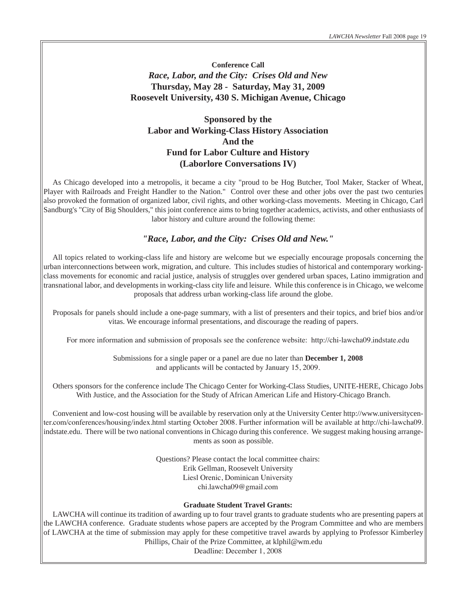**Conference Call** *Race, Labor, and the City: Crises Old and New* **Thursday, May 28 - Saturday, May 31, 2009 Roosevelt University, 430 S. Michigan Avenue, Chicago**

### **Sponsored by the Labor and Working-Class History Association And the Fund for Labor Culture and History (Laborlore Conversations IV)**

As Chicago developed into a metropolis, it became a city "proud to be Hog Butcher, Tool Maker, Stacker of Wheat, Player with Railroads and Freight Handler to the Nation." Control over these and other jobs over the past two centuries also provoked the formation of organized labor, civil rights, and other working-class movements. Meeting in Chicago, Carl Sandburg's "City of Big Shoulders," this joint conference aims to bring together academics, activists, and other enthusiasts of labor history and culture around the following theme:

### *"Race, Labor, and the City: Crises Old and New."*

All topics related to working-class life and history are welcome but we especially encourage proposals concerning the urban interconnections between work, migration, and culture. This includes studies of historical and contemporary workingclass movements for economic and racial justice, analysis of struggles over gendered urban spaces, Latino immigration and transnational labor, and developments in working-class city life and leisure. While this conference is in Chicago, we welcome proposals that address urban working-class life around the globe.

Proposals for panels should include a one-page summary, with a list of presenters and their topics, and brief bios and/or vitas. We encourage informal presentations, and discourage the reading of papers.

For more information and submission of proposals see the conference website: http://chi-lawcha09.indstate.edu

Submissions for a single paper or a panel are due no later than **December 1, 2008**  and applicants will be contacted by January 15, 2009.

Others sponsors for the conference include The Chicago Center for Working-Class Studies, UNITE-HERE, Chicago Jobs With Justice, and the Association for the Study of African American Life and History-Chicago Branch.

Convenient and low-cost housing will be available by reservation only at the University Center http://www.universitycenter.com/conferences/housing/index.html starting October 2008. Further information will be available at http://chi-lawcha09. indstate.edu. There will be two national conventions in Chicago during this conference. We suggest making housing arrangements as soon as possible.

> Questions? Please contact the local committee chairs: Erik Gellman, Roosevelt University Liesl Orenic, Dominican University chi.lawcha09@gmail.com

#### **Graduate Student Travel Grants:**

LAWCHA will continue its tradition of awarding up to four travel grants to graduate students who are presenting papers at the LAWCHA conference. Graduate students whose papers are accepted by the Program Committee and who are members of LAWCHA at the time of submission may apply for these competitive travel awards by applying to Professor Kimberley Phillips, Chair of the Prize Committee, at klphil@wm.edu

Deadline: December 1, 2008